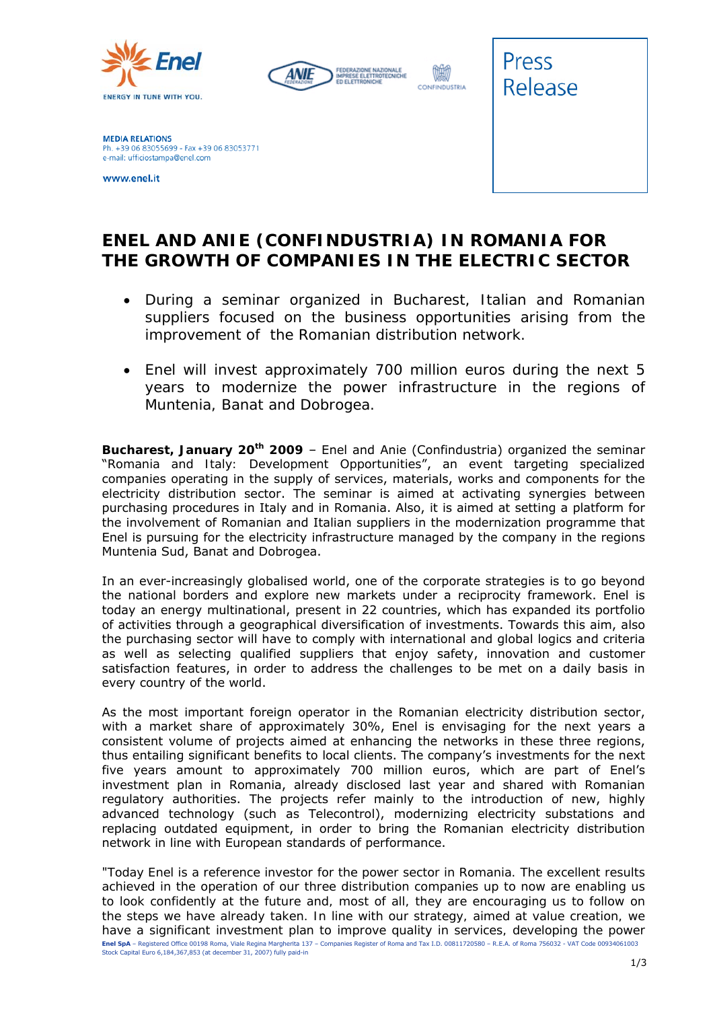





**MEDIA RELATIONS** Ph. +39 06 83055699 - Fax +39 06 83053771 e-mail: ufficiostampa@enel.com

www.enel.it

## **ENEL AND ANIE (CONFINDUSTRIA) IN ROMANIA FOR THE GROWTH OF COMPANIES IN THE ELECTRIC SECTOR**

- *During a seminar organized in Bucharest, Italian and Romanian suppliers focused on the business opportunities arising from the improvement of the Romanian distribution network.*
- *Enel will invest approximately 700 million euros during the next 5 years to modernize the power infrastructure in the regions of Muntenia, Banat and Dobrogea.*

**Bucharest, January 20th 2009** – Enel and Anie (Confindustria) organized the seminar "*Romania and Italy: Development Opportunities*", an event targeting specialized companies operating in the supply of services, materials, works and components for the electricity distribution sector. The seminar is aimed at activating synergies between purchasing procedures in Italy and in Romania. Also, it is aimed at setting a platform for the involvement of Romanian and Italian suppliers in the modernization programme that Enel is pursuing for the electricity infrastructure managed by the company in the regions Muntenia Sud, Banat and Dobrogea.

In an ever-increasingly globalised world, one of the corporate strategies is to go beyond the national borders and explore new markets under a reciprocity framework. Enel is today an energy multinational, present in 22 countries, which has expanded its portfolio of activities through a geographical diversification of investments. Towards this aim, also the purchasing sector will have to comply with international and global logics and criteria as well as selecting qualified suppliers that enjoy safety, innovation and customer satisfaction features, in order to address the challenges to be met on a daily basis in every country of the world.

As the most important foreign operator in the Romanian electricity distribution sector, with a market share of approximately 30%, Enel is envisaging for the next years a consistent volume of projects aimed at enhancing the networks in these three regions, thus entailing significant benefits to local clients. The company's investments for the next five years amount to approximately 700 million euros, which are part of Enel's investment plan in Romania, already disclosed last year and shared with Romanian regulatory authorities. The projects refer mainly to the introduction of new, highly advanced technology (such as Telecontrol), modernizing electricity substations and replacing outdated equipment, in order to bring the Romanian electricity distribution network in line with European standards of performance.

**Enel SpA** – Registered Office 00198 Roma, Viale Regina Margherita 137 – Companies Register of Roma and Tax I.D. 00811720580 – R.E.A. of Roma 756032 - VAT Code 00934061003 Stock Capital Euro 6,184,367,853 (at december 31, 2007) fully paid-in "*Today Enel is a reference investor for the power sector in Romania. The excellent results achieved in the operation of our three distribution companies up to now are enabling us to look confidently at the future and, most of all, they are encouraging us to follow on the steps we have already taken. In line with our strategy, aimed at value creation, we have a significant investment plan to improve quality in services, developing the power*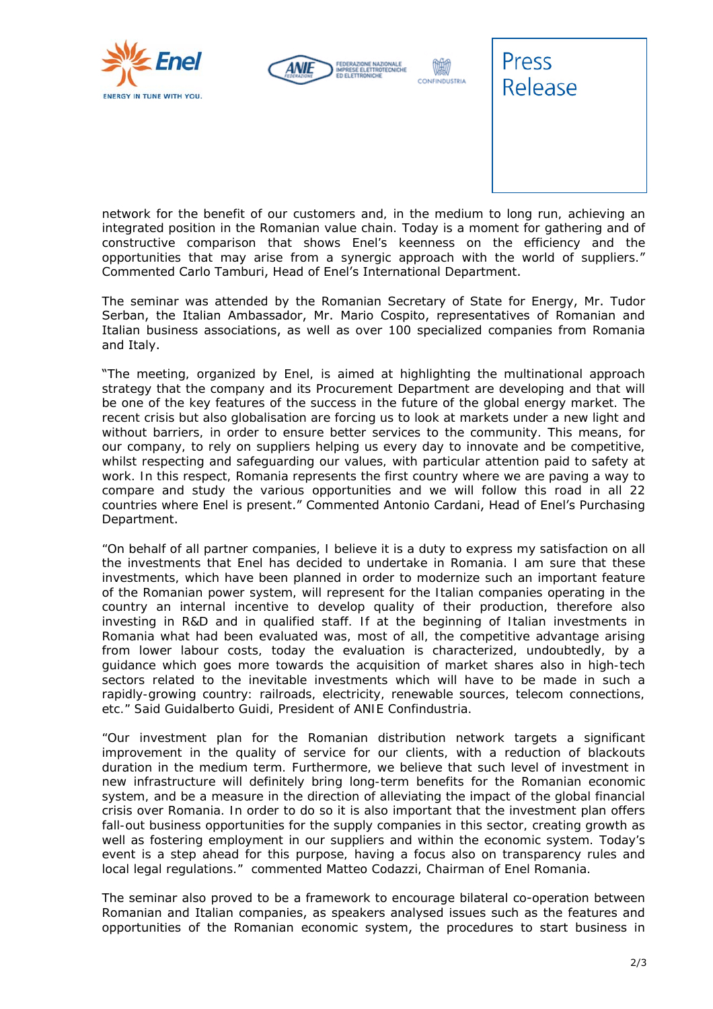





*network for the benefit of our customers and, in the medium to long run, achieving an integrated position in the Romanian value chain. Today is a moment for gathering and of constructive comparison that shows Enel's keenness on the efficiency and the opportunities that may arise from a synergic approach with the world of suppliers.*" Commented Carlo Tamburi, Head of Enel's International Department.

The seminar was attended by the Romanian Secretary of State for Energy, Mr. Tudor Serban, the Italian Ambassador, Mr. Mario Cospito, representatives of Romanian and Italian business associations, as well as over 100 specialized companies from Romania and Italy.

"*The meeting, organized by Enel, is aimed at highlighting the multinational approach strategy that the company and its Procurement Department are developing and that will be one of the key features of the success in the future of the global energy market. The recent crisis but also globalisation are forcing us to look at markets under a new light and without barriers, in order to ensure better services to the community. This means, for our company, to rely on suppliers helping us every day to innovate and be competitive, whilst respecting and safeguarding our values, with particular attention paid to safety at work. In this respect, Romania represents the first country where we are paving a way to compare and study the various opportunities and we will follow this road in all 22 countries where Enel is present*." Commented Antonio Cardani, Head of Enel's Purchasing Department.

*"On behalf of all partner companies, I believe it is a duty to express my satisfaction on all the investments that Enel has decided to undertake in Romania. I am sure that these investments, which have been planned in order to modernize such an important feature of the Romanian power system, will represent for the Italian companies operating in the country an internal incentive to develop quality of their production, therefore also investing in R&D and in qualified staff. If at the beginning of Italian investments in Romania what had been evaluated was, most of all, the competitive advantage arising from lower labour costs, today the evaluation is characterized, undoubtedly, by a guidance which goes more towards the acquisition of market shares also in high-tech sectors related to the inevitable investments which will have to be made in such a rapidly-growing country: railroads, electricity, renewable sources, telecom connections, etc." Said Guidalberto Guidi, President of ANIE Confindustria.* 

*"Our investment plan for the Romanian distribution network targets a significant improvement in the quality of service for our clients, with a reduction of blackouts duration in the medium term. Furthermore, we believe that such level of investment in new infrastructure will definitely bring long-term benefits for the Romanian economic system, and be a measure in the direction of alleviating the impact of the global financial crisis over Romania. In order to do so it is also important that the investment plan offers fall-out business opportunities for the supply companies in this sector, creating growth as well as fostering employment in our suppliers and within the economic system. Today's event is a step ahead for this purpose, having a focus also on transparency rules and local legal regulations." commented Matteo Codazzi, Chairman of Enel Romania.* 

The seminar also proved to be a framework to encourage bilateral co-operation between Romanian and Italian companies, as speakers analysed issues such as the features and opportunities of the Romanian economic system, the procedures to start business in